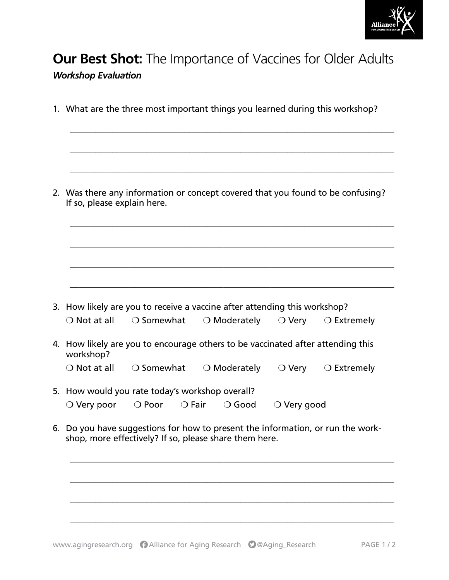

## **Our Best Shot:** The Importance of Vaccines for Older Adults

## *Workshop Evaluation*

1. What are the three most important things you learned during this workshop? \_\_\_\_\_\_\_\_\_\_\_\_\_\_\_\_\_\_\_\_\_\_\_\_\_\_\_\_\_\_\_\_\_\_\_\_\_\_\_\_\_\_\_\_\_\_\_\_\_\_\_\_\_\_\_\_\_\_\_\_\_\_\_\_\_\_\_\_\_\_\_\_\_\_\_\_

\_\_\_\_\_\_\_\_\_\_\_\_\_\_\_\_\_\_\_\_\_\_\_\_\_\_\_\_\_\_\_\_\_\_\_\_\_\_\_\_\_\_\_\_\_\_\_\_\_\_\_\_\_\_\_\_\_\_\_\_\_\_\_\_\_\_\_\_\_\_\_\_\_\_\_\_

\_\_\_\_\_\_\_\_\_\_\_\_\_\_\_\_\_\_\_\_\_\_\_\_\_\_\_\_\_\_\_\_\_\_\_\_\_\_\_\_\_\_\_\_\_\_\_\_\_\_\_\_\_\_\_\_\_\_\_\_\_\_\_\_\_\_\_\_\_\_\_\_\_\_\_\_

\_\_\_\_\_\_\_\_\_\_\_\_\_\_\_\_\_\_\_\_\_\_\_\_\_\_\_\_\_\_\_\_\_\_\_\_\_\_\_\_\_\_\_\_\_\_\_\_\_\_\_\_\_\_\_\_\_\_\_\_\_\_\_\_\_\_\_\_\_\_\_\_\_\_\_\_

\_\_\_\_\_\_\_\_\_\_\_\_\_\_\_\_\_\_\_\_\_\_\_\_\_\_\_\_\_\_\_\_\_\_\_\_\_\_\_\_\_\_\_\_\_\_\_\_\_\_\_\_\_\_\_\_\_\_\_\_\_\_\_\_\_\_\_\_\_\_\_\_\_\_\_\_

\_\_\_\_\_\_\_\_\_\_\_\_\_\_\_\_\_\_\_\_\_\_\_\_\_\_\_\_\_\_\_\_\_\_\_\_\_\_\_\_\_\_\_\_\_\_\_\_\_\_\_\_\_\_\_\_\_\_\_\_\_\_\_\_\_\_\_\_\_\_\_\_\_\_\_\_

\_\_\_\_\_\_\_\_\_\_\_\_\_\_\_\_\_\_\_\_\_\_\_\_\_\_\_\_\_\_\_\_\_\_\_\_\_\_\_\_\_\_\_\_\_\_\_\_\_\_\_\_\_\_\_\_\_\_\_\_\_\_\_\_\_\_\_\_\_\_\_\_\_\_\_\_

2. Was there any information or concept covered that you found to be confusing? If so, please explain here.

| 3. How likely are you to receive a vaccine after attending this workshop? |                     |                       |                      |                      |  |
|---------------------------------------------------------------------------|---------------------|-----------------------|----------------------|----------------------|--|
| $\bigcirc$ Not at all                                                     | $\bigcirc$ Somewhat | $\bigcirc$ Moderately | $\circ$ $\circ$ Very | $\bigcirc$ Extremely |  |

4. How likely are you to encourage others to be vaccinated after attending this workshop?

| $\bigcirc$ Not at all | $\supset$ Somewhat | $\bigcirc$ Moderately | $\bigcirc$ Verv | $\bigcirc$ Extremely |
|-----------------------|--------------------|-----------------------|-----------------|----------------------|
|-----------------------|--------------------|-----------------------|-----------------|----------------------|

- 5. How would you rate today's workshop overall? ❍ Very poor ❍ Poor ❍ Fair ❍ Good ❍ Very good
- 6. Do you have suggestions for how to present the information, or run the workshop, more effectively? If so, please share them here.